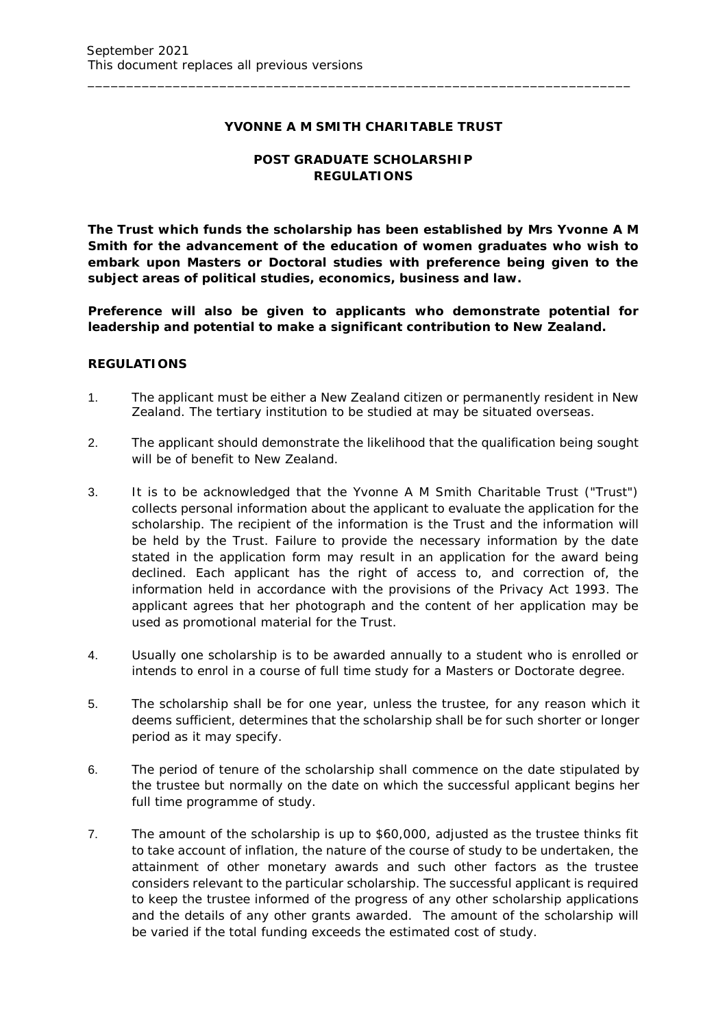## **YVONNE A M SMITH CHARITABLE TRUST**

\_\_\_\_\_\_\_\_\_\_\_\_\_\_\_\_\_\_\_\_\_\_\_\_\_\_\_\_\_\_\_\_\_\_\_\_\_\_\_\_\_\_\_\_\_\_\_\_\_\_\_\_\_\_\_\_\_\_\_\_\_\_\_\_\_\_\_\_\_\_

# **POST GRADUATE SCHOLARSHIP REGULATIONS**

*The Trust which funds the scholarship has been established by Mrs Yvonne A M Smith for the advancement of the education of women graduates who wish to embark upon Masters or Doctoral studies with preference being given to the subject areas of political studies, economics, business and law.*

*Preference will also be given to applicants who demonstrate potential for leadership and potential to make a significant contribution to New Zealand.*

#### **REGULATIONS**

- 1. The applicant must be either a New Zealand citizen or permanently resident in New Zealand. The tertiary institution to be studied at may be situated overseas.
- 2. The applicant should demonstrate the likelihood that the qualification being sought will be of benefit to New Zealand.
- 3. It is to be acknowledged that the Yvonne A M Smith Charitable Trust ("Trust") collects personal information about the applicant to evaluate the application for the scholarship. The recipient of the information is the Trust and the information will be held by the Trust. Failure to provide the necessary information by the date stated in the application form may result in an application for the award being declined. Each applicant has the right of access to, and correction of, the information held in accordance with the provisions of the Privacy Act 1993. The applicant agrees that her photograph and the content of her application may be used as promotional material for the Trust.
- 4. Usually one scholarship is to be awarded annually to a student who is enrolled or intends to enrol in a course of full time study for a Masters or Doctorate degree.
- 5. The scholarship shall be for one year, unless the trustee, for any reason which it deems sufficient, determines that the scholarship shall be for such shorter or longer period as it may specify.
- 6. The period of tenure of the scholarship shall commence on the date stipulated by the trustee but normally on the date on which the successful applicant begins her full time programme of study.
- 7. The amount of the scholarship is up to \$60,000, adjusted as the trustee thinks fit to take account of inflation, the nature of the course of study to be undertaken, the attainment of other monetary awards and such other factors as the trustee considers relevant to the particular scholarship. The successful applicant is required to keep the trustee informed of the progress of any other scholarship applications and the details of any other grants awarded. The amount of the scholarship will be varied if the total funding exceeds the estimated cost of study.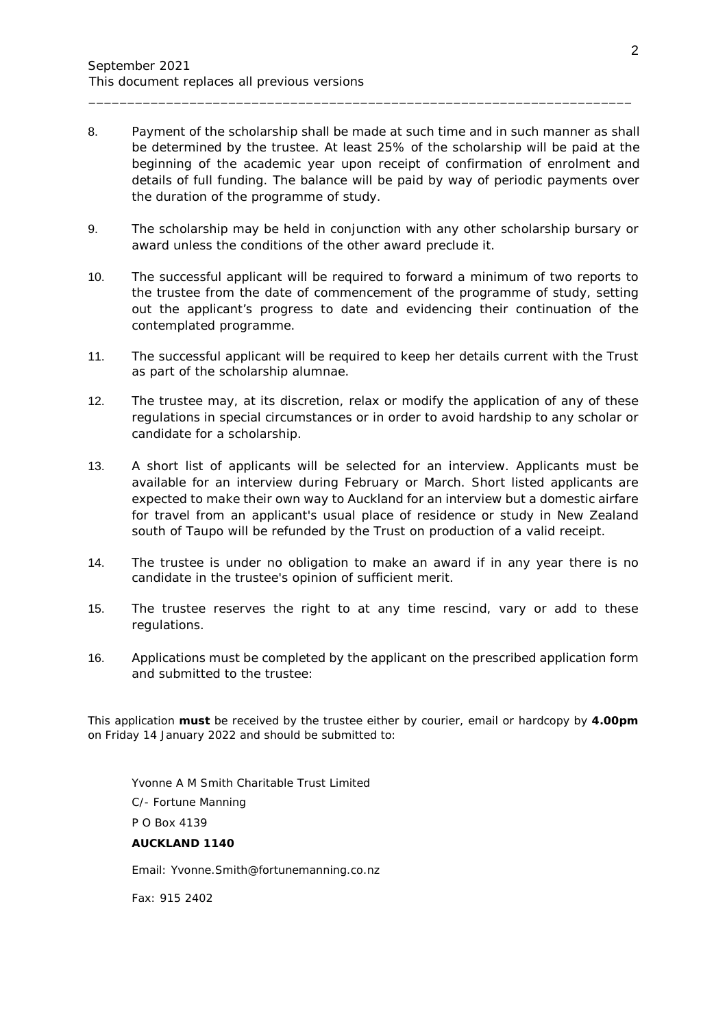8. Payment of the scholarship shall be made at such time and in such manner as shall be determined by the trustee. At least 25% of the scholarship will be paid at the beginning of the academic year upon receipt of confirmation of enrolment and details of full funding. The balance will be paid by way of periodic payments over the duration of the programme of study.

\_\_\_\_\_\_\_\_\_\_\_\_\_\_\_\_\_\_\_\_\_\_\_\_\_\_\_\_\_\_\_\_\_\_\_\_\_\_\_\_\_\_\_\_\_\_\_\_\_\_\_\_\_\_\_\_\_\_\_\_\_\_\_\_\_\_\_\_\_\_

- 9. The scholarship may be held in conjunction with any other scholarship bursary or award unless the conditions of the other award preclude it.
- 10. The successful applicant will be required to forward a minimum of two reports to the trustee from the date of commencement of the programme of study, setting out the applicant's progress to date and evidencing their continuation of the contemplated programme.
- 11. The successful applicant will be required to keep her details current with the Trust as part of the scholarship alumnae.
- 12. The trustee may, at its discretion, relax or modify the application of any of these regulations in special circumstances or in order to avoid hardship to any scholar or candidate for a scholarship.
- 13. A short list of applicants will be selected for an interview. Applicants must be available for an interview during February or March. Short listed applicants are expected to make their own way to Auckland for an interview but a domestic airfare for travel from an applicant's usual place of residence or study in New Zealand south of Taupo will be refunded by the Trust on production of a valid receipt.
- 14. The trustee is under no obligation to make an award if in any year there is no candidate in the trustee's opinion of sufficient merit.
- 15. The trustee reserves the right to at any time rescind, vary or add to these regulations.
- 16. Applications must be completed by the applicant on the prescribed application form and submitted to the trustee:

This application **must** be received by the trustee either by courier, email or hardcopy by **4.00pm** on Friday 14 January 2022 and should be submitted to:

Yvonne A M Smith Charitable Trust Limited C/- Fortune Manning P O Box 4139 **AUCKLAND 1140** Email: Yvonne.Smith@fortunemanning.co.nz

Fax: 915 2402